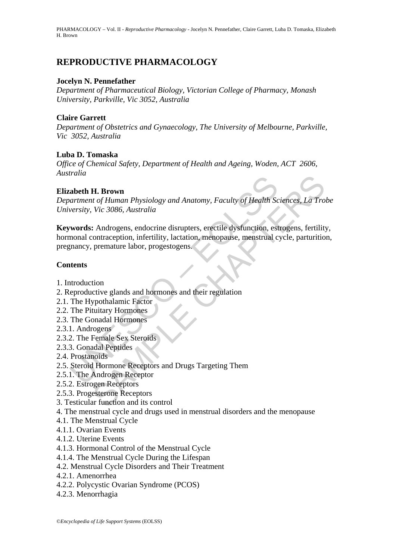# **REPRODUCTIVE PHARMACOLOGY**

#### **Jocelyn N. Pennefather**

*Department of Pharmaceutical Biology, Victorian College of Pharmacy, Monash University, Parkville, Vic 3052, Australia* 

## **Claire Garrett**

*Department of Obstetrics and Gynaecology, The University of Melbourne, Parkville, Vic 3052, Australia* 

## **Luba D. Tomaska**

*Office of Chemical Safety, Department of Health and Ageing, Woden, ACT 2606, Australia* 

#### **Elizabeth H. Brown**

*Department of Human Physiology and Anatomy, Faculty of Health Sciences, La Trobe University, Vic 3086, Australia* 

Analismum<br>
abeth H. Brown<br>
artment of Human Physiology and Anatomy, Faculty of Health Sc<br>
versity, Vic 3086, Australia<br>
words: Androgens, endocrine disrupters, erectile dysfunction, est<br>
monal contraception, infertility, l **H. Brown**<br>
at of Human Physiology and Anatomy, Faculty of Health Sciences, La Tro<br>
Vic 3086, Australia<br>
: Androgens, endocrine disrupters, erectile dysfunction, estrogens, fertility<br>
contraception, infertility, lactation, **Keywords:** Androgens, endocrine disrupters, erectile dysfunction, estrogens, fertility, hormonal contraception, infertility, lactation, menopause, menstrual cycle, parturition, pregnancy, premature labor, progestogens.

## **Contents**

- 1. Introduction
- 2. Reproductive glands and hormones and their regulation
- 2.1. The Hypothalamic Factor
- 2.2. The Pituitary Hormones
- 2.3. The Gonadal Hormones
- 2.3.1. Androgens
- 2.3.2. The Female Sex Steroids
- 2.3.3. Gonadal Peptides
- 2.4. Prostanoids
- 2.5. Steroid Hormone Receptors and Drugs Targeting Them
- 2.5.1. The Androgen Receptor
- 2.5.2. Estrogen Receptors
- 2.5.3. Progesterone Receptors
- 3. Testicular function and its control
- 4. The menstrual cycle and drugs used in menstrual disorders and the menopause
- 4.1. The Menstrual Cycle
- 4.1.1. Ovarian Events
- 4.1.2. Uterine Events
- 4.1.3. Hormonal Control of the Menstrual Cycle
- 4.1.4. The Menstrual Cycle During the Lifespan
- 4.2. Menstrual Cycle Disorders and Their Treatment
- 4.2.1. Amenorrhea
- 4.2.2. Polycystic Ovarian Syndrome (PCOS)
- 4.2.3. Menorrhagia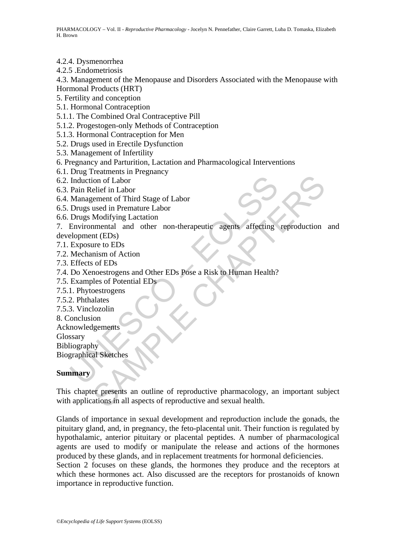4.2.4. Dysmenorrhea

4.2.5 .Endometriosis

4.3. Management of the Menopause and Disorders Associated with the Menopause with Hormonal Products (HRT)

- 5. Fertility and conception
- 5.1. Hormonal Contraception
- 5.1.1. The Combined Oral Contraceptive Pill
- 5.1.2. Progestogen-only Methods of Contraception
- 5.1.3. Hormonal Contraception for Men
- 5.2. Drugs used in Erectile Dysfunction
- 5.3. Management of Infertility
- 6. Pregnancy and Parturition, Lactation and Pharmacological Interventions
- 6.1. Drug Treatments in Pregnancy
- 6.2. Induction of Labor
- 6.3. Pain Relief in Labor
- 6.4. Management of Third Stage of Labor
- 6.5. Drugs used in Premature Labor
- 6.6. Drugs Modifying Lactation

Induction of Labor<br>
Pain Relief in Labor<br>
Management of Third Stage of Labor<br>
Drugs used in Premature Labor<br>
Drugs Modifying Lactation<br>
Environmental and other non-therapeutic agents affecting<br>
elopment (EDs)<br>
Exposure to ion of Labor<br>
elief in Labor<br>
used in Premature Labor<br>
used in Premature Labor<br>
Modifying Lactation<br>
menntal and other non-therapeutic agents affecting reproduction<br>
ture to EDs<br>
mism of Action<br>
uses of Potential EDs<br>
eles 7. Environmental and other non-therapeutic agents affecting reproduction and development (EDs)

- 7.1. Exposure to EDs
- 7.2. Mechanism of Action
- 7.3. Effects of EDs
- 7.4. Do Xenoestrogens and Other EDs Pose a Risk to Human Health?
- 7.5. Examples of Potential EDs
- 7.5.1. Phytoestrogens
- 7.5.2. Phthalates
- 7.5.3. Vinclozolin
- 8. Conclusion
- Acknowledgements
- **Glossary**

Bibliography

Biographical Sketches

#### **Summary**

This chapter presents an outline of reproductive pharmacology, an important subject with applications in all aspects of reproductive and sexual health.

Glands of importance in sexual development and reproduction include the gonads, the pituitary gland, and, in pregnancy, the feto-placental unit. Their function is regulated by hypothalamic, anterior pituitary or placental peptides. A number of pharmacological agents are used to modify or manipulate the release and actions of the hormones produced by these glands, and in replacement treatments for hormonal deficiencies.

Section 2 focuses on these glands, the hormones they produce and the receptors at which these hormones act. Also discussed are the receptors for prostanoids of known importance in reproductive function.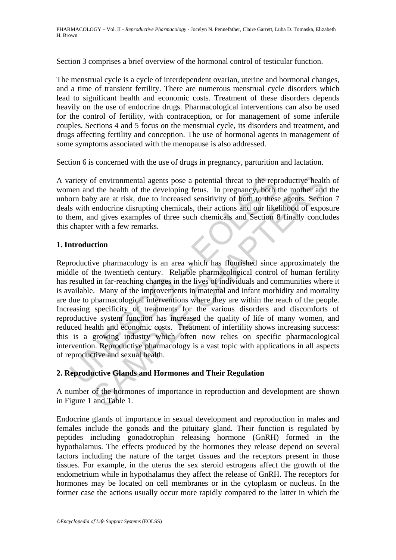Section 3 comprises a brief overview of the hormonal control of testicular function.

The menstrual cycle is a cycle of interdependent ovarian, uterine and hormonal changes, and a time of transient fertility. There are numerous menstrual cycle disorders which lead to significant health and economic costs. Treatment of these disorders depends heavily on the use of endocrine drugs. Pharmacological interventions can also be used for the control of fertility, with contraception, or for management of some infertile couples. Sections 4 and 5 focus on the menstrual cycle, its disorders and treatment, and drugs affecting fertility and conception. The use of hormonal agents in management of some symptoms associated with the menopause is also addressed.

Section 6 is concerned with the use of drugs in pregnancy, parturition and lactation.

A variety of environmental agents pose a potential threat to the reproductive health of women and the health of the developing fetus. In pregnancy, both the mother and the unborn baby are at risk, due to increased sensitivity of both to these agents. Section 7 deals with endocrine disrupting chemicals, their actions and our likelihood of exposure to them, and gives examples of three such chemicals and Section 8 finally concludes this chapter with a few remarks.

# **1. Introduction**

ariety of environmental agents pose a potential threat to the reputer<br>nen and the health of the developing fetus. In pregnancy, both to<br>mon baby are at risk, due to increased sensitivity of both to these<br>s with endocrine d of environmental agents pose a potential threat to the reproductive healt<br>the health of the developing fetus. In pregnancy, both the mother and<br>you are at risk, due to increased sensitivity of both to these agents. Section Reproductive pharmacology is an area which has flourished since approximately the middle of the twentieth century. Reliable pharmacological control of human fertility has resulted in far-reaching changes in the lives of individuals and communities where it is available. Many of the improvements in maternal and infant morbidity and mortality are due to pharmacological interventions where they are within the reach of the people. Increasing specificity of treatments for the various disorders and discomforts of reproductive system function has increased the quality of life of many women, and reduced health and economic costs. Treatment of infertility shows increasing success: this is a growing industry which often now relies on specific pharmacological intervention. Reproductive pharmacology is a vast topic with applications in all aspects of reproductive and sexual health.

# **2. Reproductive Glands and Hormones and Their Regulation**

A number of the hormones of importance in reproduction and development are shown in Figure 1 and Table 1.

Endocrine glands of importance in sexual development and reproduction in males and females include the gonads and the pituitary gland. Their function is regulated by peptides including gonadotrophin releasing hormone (GnRH) formed in the hypothalamus. The effects produced by the hormones they release depend on several factors including the nature of the target tissues and the receptors present in those tissues. For example, in the uterus the sex steroid estrogens affect the growth of the endometrium while in hypothalamus they affect the release of GnRH. The receptors for hormones may be located on cell membranes or in the cytoplasm or nucleus. In the former case the actions usually occur more rapidly compared to the latter in which the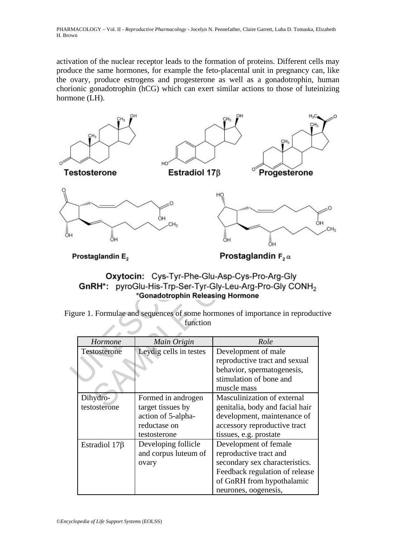activation of the nuclear receptor leads to the formation of proteins. Different cells may produce the same hormones, for example the feto-placental unit in pregnancy can, like the ovary, produce estrogens and progesterone as well as a gonadotrophin, human chorionic gonadotrophin (hCG) which can exert similar actions to those of luteinizing hormone (LH).



Figure 1. Formulae and sequences of some hormones of importance in reproductive function

| <b>Hormone</b>      | Main Origin            | Role                            |
|---------------------|------------------------|---------------------------------|
| Testosterone        | Leydig cells in testes | Development of male             |
|                     |                        | reproductive tract and sexual   |
|                     |                        | behavior, spermatogenesis,      |
|                     |                        | stimulation of bone and         |
|                     |                        | muscle mass                     |
| Dihydro-            | Formed in androgen     | Masculinization of external     |
| testosterone        | target tissues by      | genitalia, body and facial hair |
|                     | action of 5-alpha-     | development, maintenance of     |
|                     | reductase on           | accessory reproductive tract    |
|                     | testosterone           | tissues, e.g. prostate          |
| Estradiol $17\beta$ | Developing follicle    | Development of female           |
|                     | and corpus luteum of   | reproductive tract and          |
|                     | ovary                  | secondary sex characteristics.  |
|                     |                        | Feedback regulation of release  |
|                     |                        | of GnRH from hypothalamic       |
|                     |                        | neurones, oogenesis,            |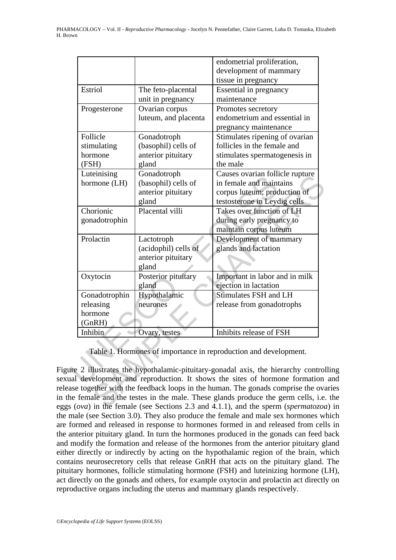| The feto-placental<br>unit in pregnancy<br>Ovarian corpus<br>luteum, and placenta<br>Gonadotroph<br>(basophil) cells of | endometrial proliferation,<br>development of mammary<br>tissue in pregnancy<br><b>Essential in pregnancy</b><br>maintenance<br>Promotes secretory<br>endometrium and essential in<br>pregnancy maintenance<br>Stimulates ripening of ovarian |
|-------------------------------------------------------------------------------------------------------------------------|----------------------------------------------------------------------------------------------------------------------------------------------------------------------------------------------------------------------------------------------|
|                                                                                                                         |                                                                                                                                                                                                                                              |
|                                                                                                                         |                                                                                                                                                                                                                                              |
|                                                                                                                         |                                                                                                                                                                                                                                              |
|                                                                                                                         |                                                                                                                                                                                                                                              |
|                                                                                                                         |                                                                                                                                                                                                                                              |
|                                                                                                                         |                                                                                                                                                                                                                                              |
|                                                                                                                         |                                                                                                                                                                                                                                              |
|                                                                                                                         |                                                                                                                                                                                                                                              |
|                                                                                                                         |                                                                                                                                                                                                                                              |
|                                                                                                                         | follicles in the female and                                                                                                                                                                                                                  |
| anterior pituitary                                                                                                      | stimulates spermatogenesis in                                                                                                                                                                                                                |
| gland                                                                                                                   | the male                                                                                                                                                                                                                                     |
|                                                                                                                         | Causes ovarian follicle rupture                                                                                                                                                                                                              |
|                                                                                                                         | in female and maintains                                                                                                                                                                                                                      |
|                                                                                                                         | corpus luteum; production of                                                                                                                                                                                                                 |
|                                                                                                                         | testosterone in Leydig cells                                                                                                                                                                                                                 |
|                                                                                                                         | Takes over function of LH                                                                                                                                                                                                                    |
|                                                                                                                         | during early pregnancy to                                                                                                                                                                                                                    |
|                                                                                                                         | maintain corpus luteum                                                                                                                                                                                                                       |
|                                                                                                                         | Development of mammary                                                                                                                                                                                                                       |
|                                                                                                                         | glands and lactation                                                                                                                                                                                                                         |
|                                                                                                                         |                                                                                                                                                                                                                                              |
|                                                                                                                         |                                                                                                                                                                                                                                              |
|                                                                                                                         | Important in labor and in milk                                                                                                                                                                                                               |
|                                                                                                                         | ejection in lactation                                                                                                                                                                                                                        |
|                                                                                                                         | Stimulates FSH and LH                                                                                                                                                                                                                        |
|                                                                                                                         | release from gonadotrophs                                                                                                                                                                                                                    |
|                                                                                                                         |                                                                                                                                                                                                                                              |
|                                                                                                                         |                                                                                                                                                                                                                                              |
|                                                                                                                         |                                                                                                                                                                                                                                              |
|                                                                                                                         | Gonadotroph<br>(basophil) cells of<br>anterior pituitary<br>gland<br>Placental villi<br>Lactotroph<br>(acidophil) cells of<br>anterior pituitary<br>gland<br>Posterior pituitary<br>gland<br>Hypothalamic<br>neurones                        |

Figure 2 illustrates the hypothalamic-pituitary-gonadal axis, the hierarchy controlling sexual development and reproduction. It shows the sites of hormone formation and release together with the feedback loops in the human. The gonads comprise the ovaries in the female and the testes in the male. These glands produce the germ cells, i.e. the eggs (*ova*) in the female (see Sections 2.3 and 4.1.1), and the sperm (*spermatozoa*) in the male (see Section 3.0). They also produce the female and male sex hormones which are formed and released in response to hormones formed in and released from cells in the anterior pituitary gland. In turn the hormones produced in the gonads can feed back and modify the formation and release of the hormones from the anterior pituitary gland either directly or indirectly by acting on the hypothalamic region of the brain, which contains neurosecretory cells that release GnRH that acts on the pituitary gland. The pituitary hormones, follicle stimulating hormone (FSH) and luteinizing hormone (LH), act directly on the gonads and others, for example oxytocin and prolactin act directly on reproductive organs including the uterus and mammary glands respectively.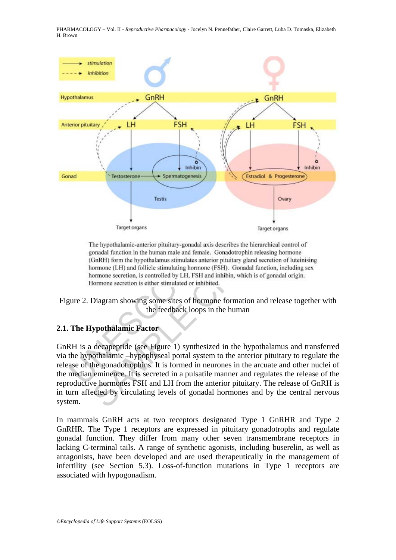



# **2.1. The Hypothalamic Factor**

GnRH is a decapeptide (see Figure 1) synthesized in the hypothalamus and transferred via the hypothalamic –hypophyseal portal system to the anterior pituitary to regulate the release of the gonadotrophins. It is formed in neurones in the arcuate and other nuclei of the median eminence. It is secreted in a pulsatile manner and regulates the release of the reproductive hormones FSH and LH from the anterior pituitary. The release of GnRH is in turn affected by circulating levels of gonadal hormones and by the central nervous system.

In mammals GnRH acts at two receptors designated Type 1 GnRHR and Type 2 GnRHR. The Type 1 receptors are expressed in pituitary gonadotrophs and regulate gonadal function. They differ from many other seven transmembrane receptors in lacking C-terminal tails. A range of synthetic agonists, including buserelin, as well as antagonists, have been developed and are used therapeutically in the management of infertility (see Section 5.3). Loss-of-function mutations in Type 1 receptors are associated with hypogonadism.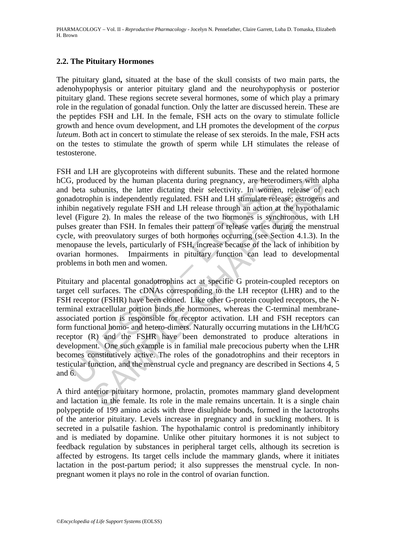# **2.2. The Pituitary Hormones**

The pituitary gland**,** situated at the base of the skull consists of two main parts, the adenohypophysis or anterior pituitary gland and the neurohypophysis or posterior pituitary gland. These regions secrete several hormones, some of which play a primary role in the regulation of gonadal function. Only the latter are discussed herein. These are the peptides FSH and LH. In the female, FSH acts on the ovary to stimulate follicle growth and hence ovum development, and LH promotes the development of the *corpus luteum*. Both act in concert to stimulate the release of sex steroids. In the male, FSH acts on the testes to stimulate the growth of sperm while LH stimulates the release of testosterone.

FSH and LH are glycoproteins with different subunits. These and the related hormone hCG, produced by the human placenta during pregnancy, are heterodimers with alpha and beta subunits, the latter dictating their selectivity. In women, release of each gonadotrophin is independently regulated. FSH and LH stimulate release; estrogens and inhibin negatively regulate FSH and LH release through an action at the hypothalamic level (Figure 2). In males the release of the two hormones is synchronous, with LH pulses greater than FSH. In females their pattern of release varies during the menstrual cycle, with preovulatory surges of both hormones occurring (see Section 4.1.3). In the menopause the levels, particularly of FSH, increase because of the lack of inhibition by ovarian hormones. Impairments in pituitary function can lead to developmental problems in both men and women.

3, produced by the human placenta during pregnancy, are heterc<br>beta subunits, the latter dictating their selectivity. In women<br>dotrophin is independently regulated. FSH and LH stimulate rele<br>bin negatively regulate FSH and uced by the human placenta during pregnancy, are heterodimers with a subunits, the latter dictating their selectivity. In women, release of ohin is independently regulated. FSH and LH stimulate release; estrogens gaintivel Pituitary and placental gonadotrophins act at specific G protein-coupled receptors on target cell surfaces. The cDNAs corresponding to the LH receptor (LHR) and to the FSH receptor (FSHR) have been cloned. Like other G-protein coupled receptors, the Nterminal extracellular portion binds the hormones, whereas the C-terminal membraneassociated portion is responsible for receptor activation. LH and FSH receptors can form functional homo- and hetero-dimers. Naturally occurring mutations in the LH/hCG receptor (R) and the FSHR have been demonstrated to produce alterations in development. One such example is in familial male precocious puberty when the LHR becomes constitutively active. The roles of the gonadotrophins and their receptors in testicular function, and the menstrual cycle and pregnancy are described in Sections 4, 5 and 6.

A third anterior pituitary hormone, prolactin, promotes mammary gland development and lactation in the female. Its role in the male remains uncertain. It is a single chain polypeptide of 199 amino acids with three disulphide bonds, formed in the lactotrophs of the anterior pituitary. Levels increase in pregnancy and in suckling mothers. It is secreted in a pulsatile fashion. The hypothalamic control is predominantly inhibitory and is mediated by dopamine. Unlike other pituitary hormones it is not subject to feedback regulation by substances in peripheral target cells, although its secretion is affected by estrogens. Its target cells include the mammary glands, where it initiates lactation in the post-partum period; it also suppresses the menstrual cycle. In nonpregnant women it plays no role in the control of ovarian function.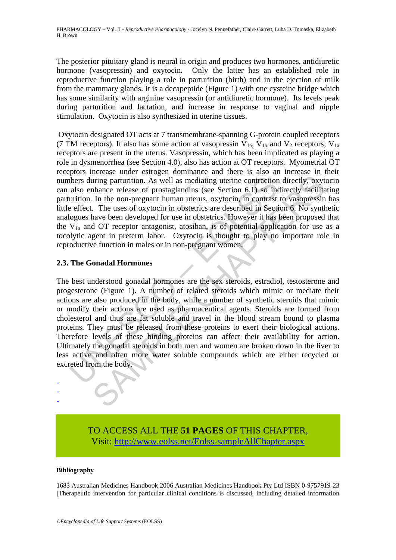The posterior pituitary gland is neural in origin and produces two hormones, antidiuretic hormone (vasopressin) and oxytocin*.* Only the latter has an established role in reproductive function playing a role in parturition (birth) and in the ejection of milk from the mammary glands. It is a decapeptide (Figure 1) with one cysteine bridge which has some similarity with arginine vasopressin (or antidiuretic hormone). Its levels peak during parturition and lactation, and increase in response to vaginal and nipple stimulation. Oxytocin is also synthesized in uterine tissues.

 Oxytocin designated OT acts at 7 transmembrane-spanning G-protein coupled receptors (7 TM receptors). It also has some action at vasopressin  $V_{1a}$ ,  $V_{1b}$  and  $V_2$  receptors;  $V_{1a}$ receptors are present in the uterus. Vasopressin, which has been implicated as playing a role in dysmenorrhea (see Section 4.0), also has action at OT receptors. Myometrial OT receptors increase under estrogen dominance and there is also an increase in their numbers during parturition. As well as mediating uterine contraction directly, oxytocin can also enhance release of prostaglandins (see Section 6.1) so indirectly facilitating parturition. In the non-pregnant human uterus, oxytocin, in contrast to vasopressin has little effect. The uses of oxytocin in obstetrics are described in Section 6. No synthetic analogues have been developed for use in obstetrics. However it has been proposed that the  $V_{1a}$  and OT receptor antagonist, atosiban, is of potential application for use as a tocolytic agent in preterm labor. Oxytocin is thought to play no important role in reproductive function in males or in non-pregnant women.

# **2.3. The Gonadal Hormones**

The state of production. As well as mediating uterine contraction<br>also enhance release of prostaglandins (see Section 6.1) so inc<br>urition. In the non-pregnant human uterus, oxytocin, in contrast<br>effect. The uses of oxytoci in the non-pregnant human uterus, experimentally in the production directly, oxythance release of prostaglandins (see Section 6.1) so indirectly facilitation. In the non-pregnant human uterus, exytocin in contrast to vasop The best understood gonadal hormones are the sex steroids, estradiol, testosterone and progesterone (Figure 1). A number of related steroids which mimic or mediate their actions are also produced in the body, while a number of synthetic steroids that mimic or modify their actions are used as pharmaceutical agents. Steroids are formed from cholesterol and thus are fat soluble and travel in the blood stream bound to plasma proteins. They must be released from these proteins to exert their biological actions. Therefore levels of these binding proteins can affect their availability for action. Ultimately the gonadal steroids in both men and women are broken down in the liver to less active and often more water soluble compounds which are either recycled or excreted from the body.

> TO ACCESS ALL THE **51 PAGES** OF THIS CHAPTER, Visit[: http://www.eolss.net/Eolss-sampleAllChapter.aspx](https://www.eolss.net/ebooklib/sc_cart.aspx?File=E6-81-22)

#### **Bibliography**

- - -

1683 Australian Medicines Handbook 2006 Australian Medicines Handbook Pty Ltd ISBN 0-9757919-23 [Therapeutic intervention for particular clinical conditions is discussed, including detailed information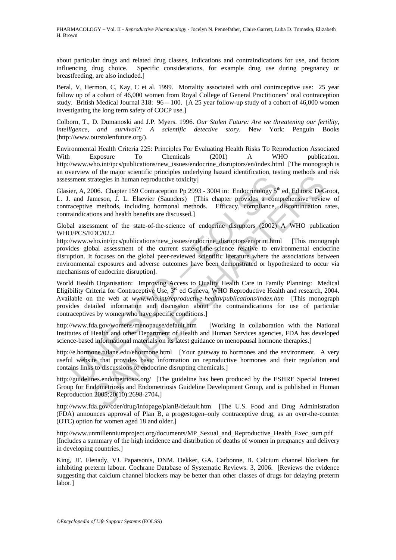about particular drugs and related drug classes, indications and contraindications for use, and factors influencing drug choice. Specific considerations, for example drug use during pregnancy or breastfeeding, are also included.]

Beral, V, Hermon, C, Kay, C et al. 1999. Mortality associated with oral contraceptive use: 25 year follow up of a cohort of 46,000 women from Royal College of General Practitioners' oral contraception study. British Medical Journal 318: 96 – 100. [A 25 year follow-up study of a cohort of 46,000 women investigating the long term safety of COCP use.]

Colborn, T., D. Dumanoski and J.P. Myers. 1996. *Our Stolen Future: Are we threatening our fertility, intelligence, and survival?: A scientific detective story.* New York: Penguin Books (http://www.ourstolenfuture.org/).

Environmental Health Criteria 225: Principles For Evaluating Health Risks To Reproduction Associated With Exposure To Chemicals (2001) A WHO publication. http://www.who.int/ipcs/publications/new\_issues/endocrine\_disruptors/en/index.html [The monograph is an overview of the major scientific principles underlying hazard identification, testing methods and risk assessment strategies in human reproductive toxicity]

Glasier, A, 2006. Chapter 159 Contraception Pp 2993 - 3004 in: Endocrinology 5<sup>th</sup> ed, Editors: DeGroot, L. J. and Jameson, J. L. Elsevier (Saunders) [This chapter provides a comprehensive review of contraceptive methods, including hormonal methods. Efficacy, compliance, discontinuation rates, contraindications and health benefits are discussed.]

Global assessment of the state-of-the-science of endocrine disruptors (2002) A WHO publication WHO/PCS/EDC/02.2

http://www.who.int/ipcs/publications/new\_issues/endocrine\_disruptors/en/print.html [This monograph provides global assessment of the current state-of-the-science relative to environmental endocrine disruption. It focuses on the global peer-reviewed scientific literature where the associations between environmental exposures and adverse outcomes have been demonstrated or hypothesized to occur via mechanisms of endocrine disruption].

isment strategies in human reproductive toxicity]<br>
ier, A, 2006. Chapter 159 Contraception Pp 2993 - 3004 in: Endocrinology  $5^d$ <br>
a. and Jameson, J. L. Elsevier (Saunders) [This chapter provides a com<br>
accretive methods, Transposition. I. Elsevier (Saudratech) Tomis happen provides a comprehension and the methods, one methods, including hormonal methods. Efficacy, compliance, discontinuation in the methods, including hormonal methods. Eff World Health Organisation: Improving Access to Quality Health Care in Family Planning: Medical Eligibility Criteria for Contraceptive Use, 3<sup>rd</sup> ed Geneva, WHO Reproductive Health and research, 2004. Available on the web at *www.who.int/reproductive-health/publications/index.htm* [This monograph provides detailed information and discussion about the contraindications for use of particular contraceptives by women who have specific conditions.]

http://www.fda.gov/womens/menopause/default.htm [Working in collaboration with the National Institutes of Health and other Department of Health and Human Services agencies, FDA has developed science-based informational materials on its latest guidance on menopausal hormone therapies.]

http://e.hormone.tulane.edu/ehormone.html [Your gateway to hormones and the environment. A very useful website that provides basic information on reproductive hormones and their regulation and contains links to discussions of endocrine disrupting chemicals.]

http://guidelines.endometriosis.org/ [The guideline has been produced by the ESHRE Special Interest Group for Endometriosis and Endometriosis Guideline Development Group, and is published in Human Reproduction 2005;20(10):2698-2704**.**]

http://www.fda.gov/cder/drug/infopage/planB/default.htm [The U.S. Food and Drug Administration (FDA) announces approval of Plan B, a progestogen–only contraceptive drug, as an over-the-counter (OTC) option for women aged 18 and older.]

http://www.unmillenniumproject.org/documents/MP\_Sexual\_and\_Reproductive\_Health\_Exec\_sum.pdf [Includes a summary of the high incidence and distribution of deaths of women in pregnancy and delivery in developing countries.]

King, JF. Flenady, VJ. Papatsonis, DNM. Dekker, GA. Carbonne, B. Calcium channel blockers for inhibiting preterm labour. Cochrane Database of Systematic Reviews. 3, 2006. [Reviews the evidence suggesting that calcium channel blockers may be better than other classes of drugs for delaying preterm labor.]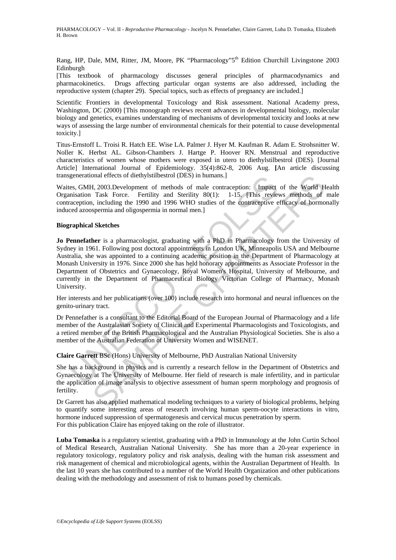Rang, HP, Dale, MM, Ritter, JM, Moore, PK "Pharmacology"5<sup>th</sup> Edition Churchill Livingstone 2003 Edinburgh

[This textbook of pharmacology discusses general principles of pharmacodynamics and pharmacokinetics. Drugs affecting particular organ systems are also addressed, including the reproductive system (chapter 29). Special topics, such as effects of pregnancy are included.]

Scientific Frontiers in developmental Toxicology and Risk assessment. National Academy press, Washington, DC (2000) [This monograph reviews recent advances in developmental biology, molecular biology and genetics, examines understanding of mechanisms of developmental toxicity and looks at new ways of assessing the large number of environmental chemicals for their potential to cause developmental toxicity.]

Titus-Ernstoff L. Troisi R. Hatch EE. Wise LA. Palmer J. Hyer M. Kaufman R. Adam E. Strohsnitter W. Noller K. Herbst AL. Gibson-Chambers J. Hartge P. Hoover RN. Menstrual and reproductive characteristics of women whose mothers were exposed in utero to diethylstilbestrol (DES). [Journal Article] International Journal of Epidemiology. 35(4):862-8, 2006 Aug. **[**An article discussing transgenerational effects of diethylstilbestrol (DES) in humans.]

Waites, GMH, 2003.Development of methods of male contraception: Impact of the World Health Organisation Task Force. Fertility and Sterility 80(1): 1-15. [This reviews methods of male contraception, including the 1990 and 1996 WHO studies of the contraceptive efficacy of hormonally induced azoospermia and oligospermia in normal men.]

#### **Biographical Sketches**

generational effects of diethylstilbestrol (DES) in humans.]<br>es, GMH, 2003.Development of methods of male contraception: Impact<br>instantion Task Force. Fertility and Sterlity 80(1): 1-15. [This review<br>acception, including t onal effects of diethylstilbestrol (DES) in humans.]<br>
1, 2003.Development of methods of male contraception: Timpact of the World H<br>
Takk Force. Fertility and Sterlity 80(1): 1-15. This reviews methods of<br>
1, including the **Jo Pennefather** is a pharmacologist, graduating with a PhD in Pharmacology from the University of Sydney in 1961. Following post doctoral appointments in London UK, Minneapolis USA and Melbourne Australia, she was appointed to a continuing academic position in the Department of Pharmacology at Monash University in 1976. Since 2000 she has held honorary appointments as Associate Professor in the Department of Obstetrics and Gynaecology, Royal Women's Hospital, University of Melbourne, and currently in the Department of Pharmaceutical Biology Victorian College of Pharmacy, Monash University.

Her interests and her publications (over 100) include research into hormonal and neural influences on the genito-urinary tract.

Dr Pennefather is a consultant to the Editorial Board of the European Journal of Pharmacology and a life member of the Australasian Society of Clinical and Experimental Pharmacologists and Toxicologists, and a retired member of the British Pharmacological and the Australian Physiological Societies. She is also a member of the Australian Federation of University Women and WISENET.

**Claire Garrett** BSc (Hons) University of Melbourne, PhD Australian National University

She has a background in physics and is currently a research fellow in the Department of Obstetrics and Gynaecology at The University of Melbourne. Her field of research is male infertility, and in particular the application of image analysis to objective assessment of human sperm morphology and prognosis of fertility.

Dr Garrett has also applied mathematical modeling techniques to a variety of biological problems, helping to quantify some interesting areas of research involving human sperm-oocyte interactions in vitro, hormone induced suppression of spermatogenesis and cervical mucus penetration by sperm. For this publication Claire has enjoyed taking on the role of illustrator.

**Luba Tomaska** is a regulatory scientist, graduating with a PhD in Immunology at the John Curtin School of Medical Research, Australian National University. She has more than a 20-year experience in regulatory toxicology, regulatory policy and risk analysis, dealing with the human risk assessment and risk management of chemical and microbiological agents, within the Australian Department of Health. In the last 10 years she has contributed to a number of the World Health Organization and other publications dealing with the methodology and assessment of risk to humans posed by chemicals.